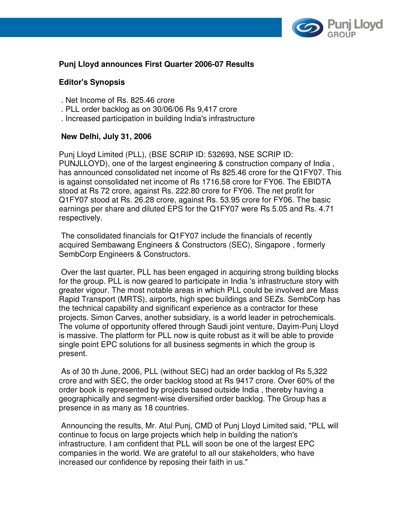

# **Punj Lloyd announces First Quarter 2006-07 Results**

## **Editor's Synopsis**

- . Net Income of Rs. 825.46 crore
- . PLL order backlog as on 30/06/06 Rs 9,417 crore
- . Increased participation in building India's infrastructure

## **New Delhi, July 31, 2006**

Punj Lloyd Limited (PLL), (BSE SCRIP ID: 532693, NSE SCRIP ID: PUNJLLOYD), one of the largest engineering & construction company of India , has announced consolidated net income of Rs 825.46 crore for the Q1FY07. This is against consolidated net income of Rs 1716.58 crore for FY06. The EBIDTA stood at Rs 72 crore, against Rs. 222.80 crore for FY06. The net profit for Q1FY07 stood at Rs. 26.28 crore, against Rs. 53.95 crore for FY06. The basic earnings per share and diluted EPS for the Q1FY07 were Rs 5.05 and Rs. 4.71 respectively.

 The consolidated financials for Q1FY07 include the financials of recently acquired Sembawang Engineers & Constructors (SEC), Singapore , formerly SembCorp Engineers & Constructors.

 Over the last quarter, PLL has been engaged in acquiring strong building blocks for the group. PLL is now geared to participate in India 's infrastructure story with greater vigour. The most notable areas in which PLL could be involved are Mass Rapid Transport (MRTS), airports, high spec buildings and SEZs. SembCorp has the technical capability and significant experience as a contractor for these projects. Simon Carves, another subsidiary, is a world leader in petrochemicals. The volume of opportunity offered through Saudi joint venture, Dayim-Punj Lloyd is massive. The platform for PLL now is quite robust as it will be able to provide single point EPC solutions for all business segments in which the group is present.

 As of 30 th June, 2006, PLL (without SEC) had an order backlog of Rs 5,322 crore and with SEC, the order backlog stood at Rs 9417 crore. Over 60% of the order book is represented by projects based outside India , thereby having a geographically and segment-wise diversified order backlog. The Group has a presence in as many as 18 countries.

 Announcing the results, Mr. Atul Punj, CMD of Punj Lloyd Limited said, "PLL will continue to focus on large projects which help in building the nation's infrastructure. I am confident that PLL will soon be one of the largest EPC companies in the world. We are grateful to all our stakeholders, who have increased our confidence by reposing their faith in us."